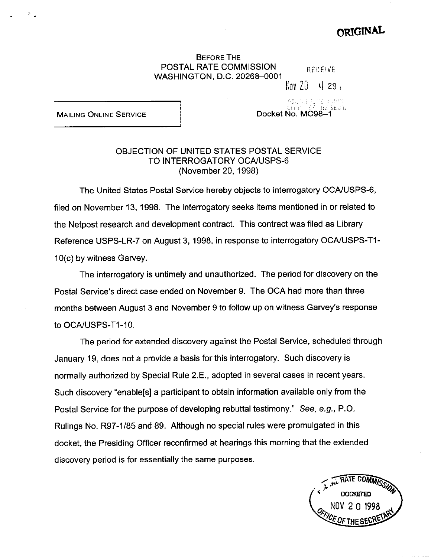## ORIGINAL

## BEFORE THE POSTAL RATE COMMISSION RECEIVE WASHINGTON, D.C. 20268-0001

 $Nov 20 429$ 

Docket No. MC98-1

 $0$ in i $\mathbb{I}_1$ ,  $\mathbb{I}_2$ i, ijil, is suffice

Service Portraining

**MAILING ONLINE SERVICE** 

## OBJECTION OF UNITED STATES POSTAL SERVICE TO INTERROGATORY OCA/USPS-6 (November 20, 1998)

The United States Postal Service hereby objects to interrogatory OCA/USPS-6, filed on November 13, 1998. The interrogatory seeks items mentioned in or related to the Netpost research and development contract. This contract was filed as Library Reference USPS-LR-7 on August 3, 1998, in response to interrogatory OCAIUSPS-TI-10(c) by witness Garvey.

The interrogatory is untimely and unauthorized. The period for discovery on the Postal Service's direct case ended on November 9. The OCA had more than three months between August 3 and November 9 to follow up on witness Garvey's response to OCA/USPS-T1-10.

The period for extended discovery against the Postal Service, scheduled through January 19, does not a provide a basis for this interrogatory. Such discovery is normally authorized by Special Rule 2.E., adopted in several cases in recent years. Such discovery "enable[s] a participant to obtain information available only from the Postal Service for the purpose of developing rebuttal testimony." See, e.g., P.O. Rulings No. R97-l/85 and 89. Although no special rules were promulgated in this docket, the Presiding Officer reconfirmed at hearings this morning that the extended discovery period is for essentially the same purposes.